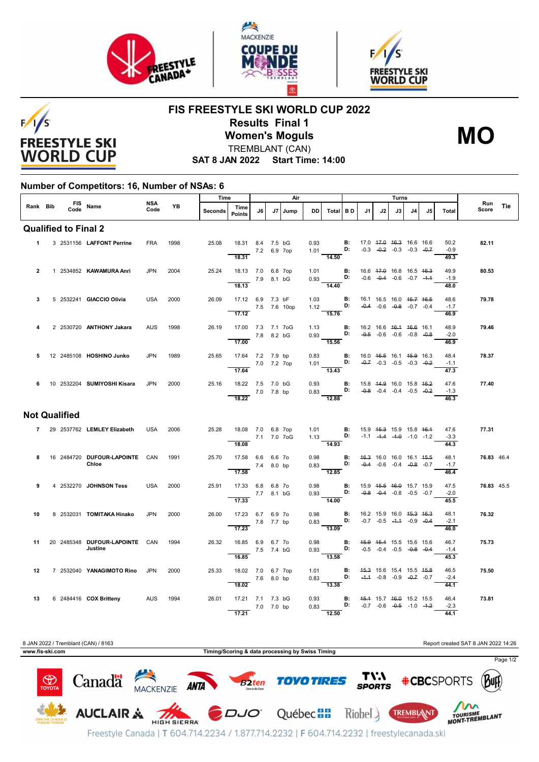





## $F/1/S$ **FREESTYLE SKI WORLD CUP**

## **FIS FREESTYLE SKI WORLD CUP 2022 Results Final 1 Women's Moguls** TREMBLANT (CAN)

**MO**

**SAT 8 JAN 2022 Start Time: 14:00**

## **Number of Competitors: 16, Number of NSAs: 6**

|                      | FIS Name  |  |      |                                           |             | Time      |         | Air                                 |            |    |      |                 |                                                                                                                                  |                                    | Turns |    |                                                                |    |    |                        |              |     |
|----------------------|-----------|--|------|-------------------------------------------|-------------|-----------|---------|-------------------------------------|------------|----|------|-----------------|----------------------------------------------------------------------------------------------------------------------------------|------------------------------------|-------|----|----------------------------------------------------------------|----|----|------------------------|--------------|-----|
| Rank Bib             |           |  | Code |                                           | NSA<br>Code | <b>YB</b> | Seconds | Time<br><b>Points</b>               | J6         | J7 | Jump | <b>DD</b>       | Total BD                                                                                                                         |                                    | J1    | J2 | J3                                                             | J4 | J5 | <b>Total</b>           | Run<br>Score | Tie |
|                      |           |  |      | <b>Qualified to Final 2</b>               |             |           |         |                                     |            |    |      |                 |                                                                                                                                  |                                    |       |    |                                                                |    |    |                        |              |     |
|                      | $1 \quad$ |  |      | 3 2531156 LAFFONT Perrine                 | <b>FRA</b>  | 1998      | 25.08   | 18.31 8.4 7.5 bG<br>7.2 6.9 7op     |            |    |      | 0.93            | $1.01$ D:                                                                                                                        | <b>B:</b>                          |       |    | 17.0 47.0 46.3 16.6 16.6<br>$-0.3$ $-0.2$ $-0.3$ $-0.3$ $-0.7$ |    |    | 50.2<br>$-0.9$         | 82.11        |     |
|                      |           |  |      |                                           |             |           |         | 18.31                               |            |    |      |                 | $\frac{1}{14.50}$                                                                                                                |                                    |       |    |                                                                |    |    | 49.3                   |              |     |
| $\mathbf{2}$         |           |  |      | 1 2534852 KAWAMURA Anri                   | <b>JPN</b>  | 2004      | 25.24   | 18.13 7.0 6.8 7op<br>7.9 8.1 bG     |            |    |      |                 | 1.01 <b>B:</b> 16.6 47.0 16.8 16.5 46.3<br>0.93 <b>D:</b> -0.6 -0.4 -0.6 -0.7 -4.4                                               |                                    |       |    |                                                                |    |    | 49.9<br>$-1.9$         | 80.53        |     |
|                      |           |  |      |                                           |             |           |         | 18.13                               |            |    |      | <b>Contract</b> | $\frac{1}{14.40}$                                                                                                                |                                    |       |    |                                                                |    |    | 48.0                   |              |     |
| 3                    |           |  |      | 5 2532241 GIACCIO Olivia                  | <b>USA</b>  | 2000      | 26.09   | 17.12 6.9 7.3 bF<br>7.5 7.6 10op    |            |    |      | 1.03            | 1.12 <b>D</b> :<br>$-15.76$                                                                                                      | B:                                 |       |    | 16.1 16.5 16.0 45.7 46.5<br>$-0.4$ $-0.6$ $-0.8$ $-0.7$ $-0.4$ |    |    | 48.6<br>$-1.7$<br>46.9 | 79.78        |     |
| 4                    |           |  |      | 2 2530720 ANTHONY Jakara                  | <b>AUS</b>  | 1998      | 26.19   | 17.12<br>17.00 7.3 7.1 7oG          |            |    |      |                 |                                                                                                                                  |                                    |       |    |                                                                |    |    | 48.9                   | 79.46        |     |
|                      |           |  |      |                                           |             |           |         | $7.8$ 8.2 bG<br>17.00               |            |    |      |                 | 1.13 <b>B:</b> 16.2 16.6 <del>16.1</del> <del>16.6</del> 16.1<br>0.93 <b>D:</b> -0. <del>5</del> -0.6 -0.6 -0.8 -0.8<br>$-15.56$ |                                    |       |    |                                                                |    |    | $-2.0$<br>46.9         |              |     |
| 5                    |           |  |      | 12 2485108 HOSHINO Junko                  | <b>JPN</b>  | 1989      | 25.65   | 17.64 7.2 7.9 bp                    |            |    |      | 0.83            |                                                                                                                                  | <b>B:</b>                          |       |    | 16.0 46.5 16.1 45.9 16.3                                       |    |    | 48.4                   | 78.37        |     |
|                      |           |  |      |                                           |             |           |         | 7.0 7.2 7op<br>17.64                |            |    |      |                 | 1.01 <b>D</b> :<br>13.43                                                                                                         |                                    |       |    | $-0.7$ $-0.3$ $-0.5$ $-0.3$ $-0.2$                             |    |    | $-1.1$<br>47.3         |              |     |
| 6                    |           |  |      | 10 2532204 SUMIYOSHI Kisara               | <b>JPN</b>  | 2000      | 25.16   | 18.22 7.5 7.0 bG<br>$7.0$ 7.8 bp    |            |    |      |                 | 0.93 <b>B:</b> 15.8 44.9 16.0 15.8 46.2<br>0.83 <b>D:</b> -0.8 -0.4 -0.4 -0.5 -0.2                                               |                                    |       |    |                                                                |    |    | 47.6<br>$-1.3$         | 77.40        |     |
|                      |           |  |      |                                           |             |           |         | 18.22                               |            |    |      |                 | $\overline{12.88}$                                                                                                               |                                    |       |    |                                                                |    |    | 46.3                   |              |     |
| <b>Not Qualified</b> |           |  |      |                                           |             |           |         |                                     |            |    |      |                 |                                                                                                                                  |                                    |       |    |                                                                |    |    |                        |              |     |
|                      |           |  |      | 7 29 2537762 LEMLEY Elizabeth             | <b>USA</b>  | 2006      | 25.28   | 18.08 7.0 6.8 7op<br>$-27.177.070G$ |            |    |      |                 | 1.01 <b>B</b> : 15.9 <del>15.3</del> 15.9 15.8 <del>16.1</del><br>1.13 <b>D:</b> -1.1 -1.4 -1.0 -1.0 -1.2                        |                                    |       |    |                                                                |    |    | 47.6<br>$-3.3$         | 77.31        |     |
|                      |           |  |      |                                           |             |           |         | 18.08                               |            |    |      |                 | $\frac{1}{14.93}$                                                                                                                |                                    |       |    |                                                                |    |    | 44.3                   |              |     |
| 8                    |           |  |      | 16 2484720 DUFOUR LAPOINTE CAN<br>Chloe   |             | 1991      | 25.70   | 17.58 6.6 6.6 7o                    | 7.4 8.0 bp |    |      | 0.98<br>0.83    | D:                                                                                                                               | $\blacksquare$                     |       |    | 46.3 16.0 16.0 16.1 45.5<br>$-0.4$ $-0.6$ $-0.4$ $-0.8$ $-0.7$ |    |    | 48.1<br>$-1.7$         | 76.83 46.4   |     |
| 9                    |           |  |      | 4 2532270 JOHNSON Tess                    | <b>USA</b>  | 2000      | 25.91   | 17.58<br>17.33 6.8 6.8 7o           |            |    |      |                 | $\overline{12.85}$<br>0.98 <b>B:</b> 15.9 4 <del>5.5</del> 46.0 15.7 15.9                                                        |                                    |       |    |                                                                |    |    | 46.4<br>47.5           | 76.83 45.5   |     |
|                      |           |  |      |                                           |             |           |         | 7.7 8.1 bG<br>17.33                 |            |    |      |                 | 0.93 <b>D:</b> $-0.8$ $-0.4$ $-0.8$ $-0.5$ $-0.7$<br>$-14.00$                                                                    |                                    |       |    |                                                                |    |    | $-2.0$<br>45.5         |              |     |
| 10                   |           |  |      | 8 2532031 TOMITAKA Hinako                 | <b>JPN</b>  | 2000      | 26.00   | 17.23 6.7 6.9 7o                    |            |    |      |                 | 0.98 B: 16.2 15.9 16.0 45.3 46.3                                                                                                 |                                    |       |    |                                                                |    |    | 48.1                   | 76.32        |     |
|                      |           |  |      |                                           |             |           |         | 17.23                               | 7.8 7.7 bp |    |      | 0.83            | D:<br>$-13.09$                                                                                                                   |                                    |       |    | $-0.7$ $-0.5$ $-4.4$ $-0.9$ $-0.4$                             |    |    | $-2.1$<br>46.0         |              |     |
| 11                   |           |  |      | 20 2485348 DUFOUR LAPOINTE CAN<br>Justine |             | 1994      | 26.32   | 16.85 6.9 6.7 70<br>7.5 7.4 bG      |            |    |      | 0.98            |                                                                                                                                  | <b>B:</b> 45.9 45.4 15.5 15.6 15.6 |       |    |                                                                |    |    | 46.7<br>$-1.4$         | 75.73        |     |
|                      |           |  |      |                                           |             |           |         | 16.85                               |            |    |      |                 | 13.58                                                                                                                            |                                    |       |    |                                                                |    |    | 45.3                   |              |     |
| 12                   |           |  |      | 7 2532040 YANAGIMOTO Rino                 | <b>JPN</b>  | 2000      | 25.33   | 18.02 7.0 6.7 7op<br>7.6 8.0 bp     |            |    |      |                 | 1.01 <b>B</b> : 45.3 15.6 15.4 15.5 45.8<br>0.83 <b>D:</b> -4.4 -0.8 -0.9 -0.7 -0.7                                              |                                    |       |    |                                                                |    |    | 46.5<br>$-2.4$         | 75.50        |     |
| 13                   |           |  |      | 6 2484416 COX Britteny AUS                |             | 1994      | 26.01   | 18.02<br>17.21 7.1 7.3 bG           |            |    |      |                 | $-13.38$                                                                                                                         |                                    |       |    |                                                                |    |    | 44.1<br>46.4           | 73.81        |     |
|                      |           |  |      |                                           |             |           |         |                                     | 7.0 7.0 bp |    |      |                 | 0.93 <b>B:</b> 45.4 15.7 46.0 15.2 15.5<br>0.83 <b>D:</b> $-0.7$ $-0.6$ $-0.5$ $-1.0$ $-1.2$                                     |                                    |       |    |                                                                |    |    | $-2.3$                 |              |     |
|                      |           |  |      |                                           |             |           |         | 17.21                               |            |    |      |                 | 12.50                                                                                                                            |                                    |       |    |                                                                |    |    | 44.1                   |              |     |